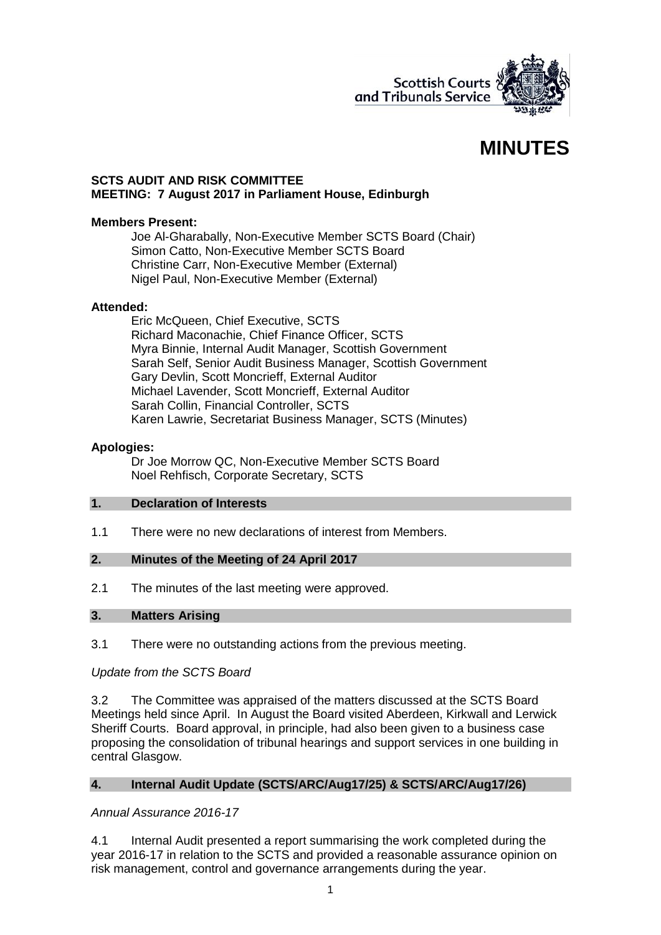

# **MINUTES**

#### **SCTS AUDIT AND RISK COMMITTEE MEETING: 7 August 2017 in Parliament House, Edinburgh**

#### **Members Present:**

Joe Al-Gharabally, Non-Executive Member SCTS Board (Chair) Simon Catto, Non-Executive Member SCTS Board Christine Carr, Non-Executive Member (External) Nigel Paul, Non-Executive Member (External)

#### **Attended:**

Eric McQueen, Chief Executive, SCTS Richard Maconachie, Chief Finance Officer, SCTS Myra Binnie, Internal Audit Manager, Scottish Government Sarah Self, Senior Audit Business Manager, Scottish Government Gary Devlin, Scott Moncrieff, External Auditor Michael Lavender, Scott Moncrieff, External Auditor Sarah Collin, Financial Controller, SCTS Karen Lawrie, Secretariat Business Manager, SCTS (Minutes)

#### **Apologies:**

Dr Joe Morrow QC, Non-Executive Member SCTS Board Noel Rehfisch, Corporate Secretary, SCTS

#### **1. Declaration of Interests**

1.1 There were no new declarations of interest from Members.

## **2. Minutes of the Meeting of 24 April 2017**

2.1 The minutes of the last meeting were approved.

# **3. Matters Arising**

3.1 There were no outstanding actions from the previous meeting.

## *Update from the SCTS Board*

3.2 The Committee was appraised of the matters discussed at the SCTS Board Meetings held since April. In August the Board visited Aberdeen, Kirkwall and Lerwick Sheriff Courts. Board approval, in principle, had also been given to a business case proposing the consolidation of tribunal hearings and support services in one building in central Glasgow.

# **4. Internal Audit Update (SCTS/ARC/Aug17/25) & SCTS/ARC/Aug17/26)**

## *Annual Assurance 2016-17*

4.1 Internal Audit presented a report summarising the work completed during the year 2016-17 in relation to the SCTS and provided a reasonable assurance opinion on risk management, control and governance arrangements during the year.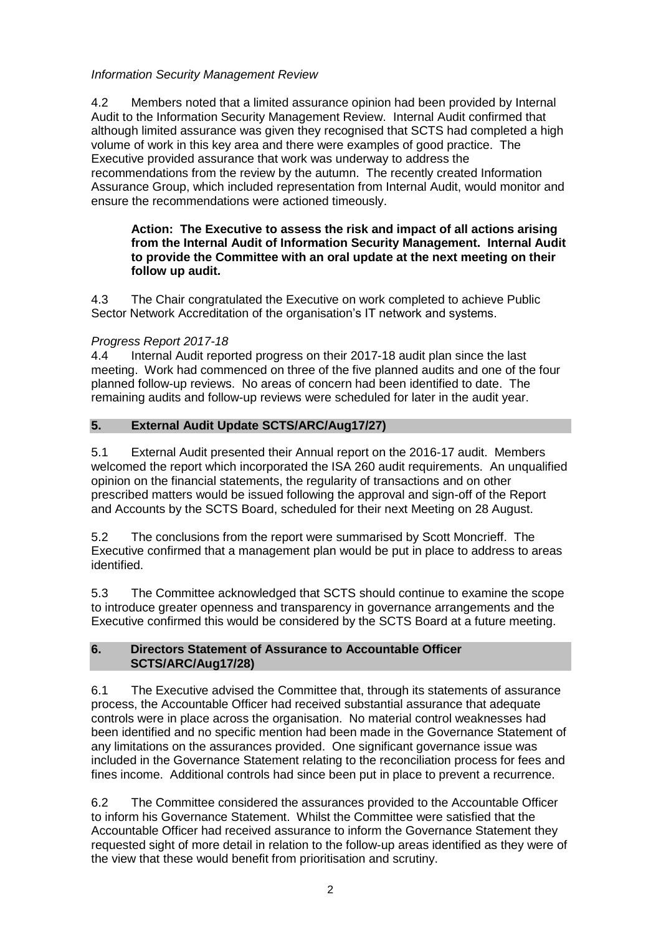# *Information Security Management Review*

4.2 Members noted that a limited assurance opinion had been provided by Internal Audit to the Information Security Management Review. Internal Audit confirmed that although limited assurance was given they recognised that SCTS had completed a high volume of work in this key area and there were examples of good practice. The Executive provided assurance that work was underway to address the recommendations from the review by the autumn. The recently created Information Assurance Group, which included representation from Internal Audit, would monitor and ensure the recommendations were actioned timeously.

#### **Action: The Executive to assess the risk and impact of all actions arising from the Internal Audit of Information Security Management. Internal Audit to provide the Committee with an oral update at the next meeting on their follow up audit.**

4.3 The Chair congratulated the Executive on work completed to achieve Public Sector Network Accreditation of the organisation's IT network and systems.

# *Progress Report 2017-18*

4.4 Internal Audit reported progress on their 2017-18 audit plan since the last meeting. Work had commenced on three of the five planned audits and one of the four planned follow-up reviews. No areas of concern had been identified to date. The remaining audits and follow-up reviews were scheduled for later in the audit year.

# **5. External Audit Update SCTS/ARC/Aug17/27)**

5.1 External Audit presented their Annual report on the 2016-17 audit. Members welcomed the report which incorporated the ISA 260 audit requirements. An unqualified opinion on the financial statements, the regularity of transactions and on other prescribed matters would be issued following the approval and sign-off of the Report and Accounts by the SCTS Board, scheduled for their next Meeting on 28 August.

5.2 The conclusions from the report were summarised by Scott Moncrieff. The Executive confirmed that a management plan would be put in place to address to areas identified.

5.3 The Committee acknowledged that SCTS should continue to examine the scope to introduce greater openness and transparency in governance arrangements and the Executive confirmed this would be considered by the SCTS Board at a future meeting.

## **6. Directors Statement of Assurance to Accountable Officer SCTS/ARC/Aug17/28)**

6.1 The Executive advised the Committee that, through its statements of assurance process, the Accountable Officer had received substantial assurance that adequate controls were in place across the organisation. No material control weaknesses had been identified and no specific mention had been made in the Governance Statement of any limitations on the assurances provided. One significant governance issue was included in the Governance Statement relating to the reconciliation process for fees and fines income. Additional controls had since been put in place to prevent a recurrence.

6.2 The Committee considered the assurances provided to the Accountable Officer to inform his Governance Statement. Whilst the Committee were satisfied that the Accountable Officer had received assurance to inform the Governance Statement they requested sight of more detail in relation to the follow-up areas identified as they were of the view that these would benefit from prioritisation and scrutiny.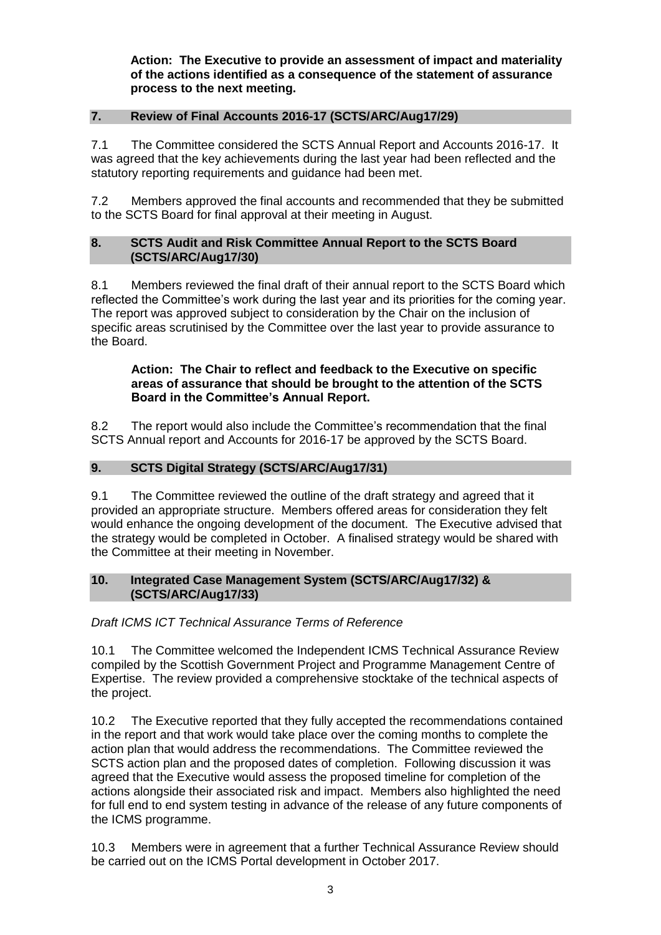**Action: The Executive to provide an assessment of impact and materiality of the actions identified as a consequence of the statement of assurance process to the next meeting.**

# **7. Review of Final Accounts 2016-17 (SCTS/ARC/Aug17/29)**

7.1 The Committee considered the SCTS Annual Report and Accounts 2016-17. It was agreed that the key achievements during the last year had been reflected and the statutory reporting requirements and guidance had been met.

7.2 Members approved the final accounts and recommended that they be submitted to the SCTS Board for final approval at their meeting in August.

# **8. SCTS Audit and Risk Committee Annual Report to the SCTS Board (SCTS/ARC/Aug17/30)**

8.1 Members reviewed the final draft of their annual report to the SCTS Board which reflected the Committee's work during the last year and its priorities for the coming year. The report was approved subject to consideration by the Chair on the inclusion of specific areas scrutinised by the Committee over the last year to provide assurance to the Board.

#### **Action: The Chair to reflect and feedback to the Executive on specific areas of assurance that should be brought to the attention of the SCTS Board in the Committee's Annual Report.**

8.2 The report would also include the Committee's recommendation that the final SCTS Annual report and Accounts for 2016-17 be approved by the SCTS Board.

# **9. SCTS Digital Strategy (SCTS/ARC/Aug17/31)**

9.1 The Committee reviewed the outline of the draft strategy and agreed that it provided an appropriate structure. Members offered areas for consideration they felt would enhance the ongoing development of the document. The Executive advised that the strategy would be completed in October. A finalised strategy would be shared with the Committee at their meeting in November.

## **10. Integrated Case Management System (SCTS/ARC/Aug17/32) & (SCTS/ARC/Aug17/33)**

# *Draft ICMS ICT Technical Assurance Terms of Reference*

10.1 The Committee welcomed the Independent ICMS Technical Assurance Review compiled by the Scottish Government Project and Programme Management Centre of Expertise. The review provided a comprehensive stocktake of the technical aspects of the project.

10.2 The Executive reported that they fully accepted the recommendations contained in the report and that work would take place over the coming months to complete the action plan that would address the recommendations. The Committee reviewed the SCTS action plan and the proposed dates of completion. Following discussion it was agreed that the Executive would assess the proposed timeline for completion of the actions alongside their associated risk and impact. Members also highlighted the need for full end to end system testing in advance of the release of any future components of the ICMS programme.

10.3 Members were in agreement that a further Technical Assurance Review should be carried out on the ICMS Portal development in October 2017.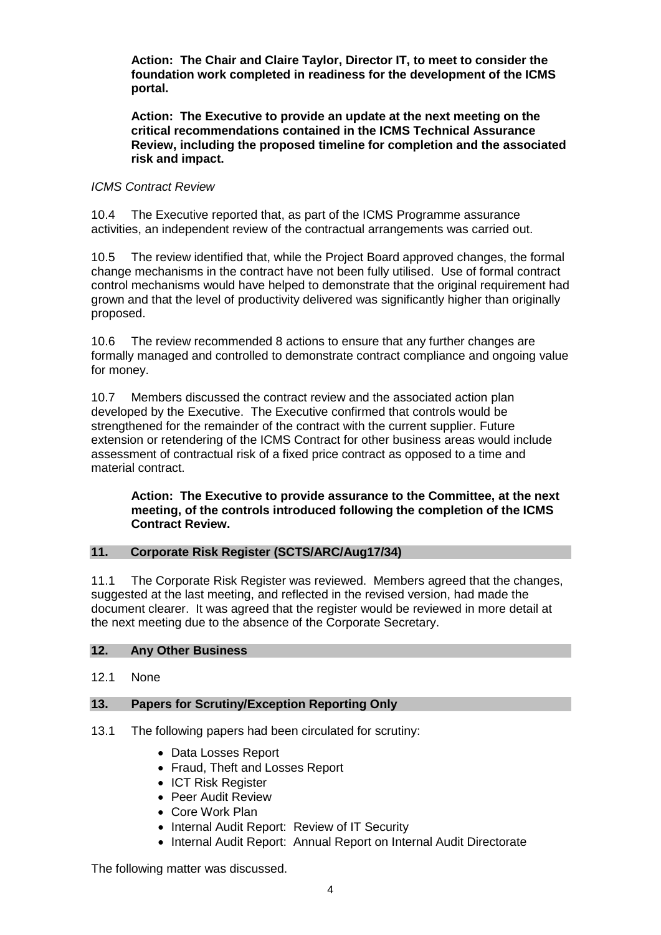**Action: The Chair and Claire Taylor, Director IT, to meet to consider the foundation work completed in readiness for the development of the ICMS portal.**

**Action: The Executive to provide an update at the next meeting on the critical recommendations contained in the ICMS Technical Assurance Review, including the proposed timeline for completion and the associated risk and impact.**

## *ICMS Contract Review*

10.4 The Executive reported that, as part of the ICMS Programme assurance activities, an independent review of the contractual arrangements was carried out.

10.5 The review identified that, while the Project Board approved changes, the formal change mechanisms in the contract have not been fully utilised. Use of formal contract control mechanisms would have helped to demonstrate that the original requirement had grown and that the level of productivity delivered was significantly higher than originally proposed.

10.6 The review recommended 8 actions to ensure that any further changes are formally managed and controlled to demonstrate contract compliance and ongoing value for money.

10.7 Members discussed the contract review and the associated action plan developed by the Executive. The Executive confirmed that controls would be strengthened for the remainder of the contract with the current supplier. Future extension or retendering of the ICMS Contract for other business areas would include assessment of contractual risk of a fixed price contract as opposed to a time and material contract.

**Action: The Executive to provide assurance to the Committee, at the next meeting, of the controls introduced following the completion of the ICMS Contract Review.**

# **11. Corporate Risk Register (SCTS/ARC/Aug17/34)**

11.1 The Corporate Risk Register was reviewed. Members agreed that the changes, suggested at the last meeting, and reflected in the revised version, had made the document clearer. It was agreed that the register would be reviewed in more detail at the next meeting due to the absence of the Corporate Secretary.

## **12. Any Other Business**

12.1 None

## **13. Papers for Scrutiny/Exception Reporting Only**

- 13.1 The following papers had been circulated for scrutiny:
	- Data Losses Report
	- Fraud, Theft and Losses Report
	- ICT Risk Register
	- Peer Audit Review
	- Core Work Plan
	- Internal Audit Report: Review of IT Security
	- Internal Audit Report: Annual Report on Internal Audit Directorate

The following matter was discussed.